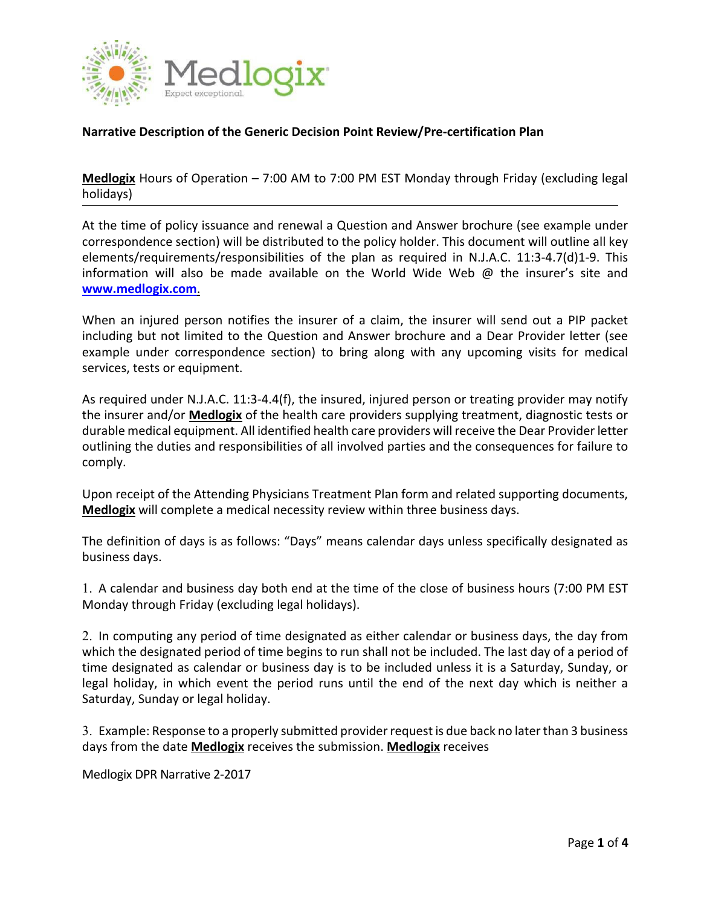

## **Narrative Description of the Generic Decision Point Review/Pre‐certification Plan**

**Medlogix** Hours of Operation – 7:00 AM to 7:00 PM EST Monday through Friday (excluding legal holidays)

At the time of policy issuance and renewal a Question and Answer brochure (see example under correspondence section) will be distributed to the policy holder. This document will outline all key elements/requirements/responsibilities of the plan as required in N.J.A.C. 11:3‐4.7(d)1‐9. This information will also be made available on the World Wide Web  $\omega$  the insurer's site and **www.medlogix.com**.

When an injured person notifies the insurer of a claim, the insurer will send out a PIP packet including but not limited to the Question and Answer brochure and a Dear Provider letter (see example under correspondence section) to bring along with any upcoming visits for medical services, tests or equipment.

As required under N.J.A.C. 11:3‐4.4(f), the insured, injured person or treating provider may notify the insurer and/or **Medlogix** of the health care providers supplying treatment, diagnostic tests or durable medical equipment. All identified health care providers will receive the Dear Provider letter outlining the duties and responsibilities of all involved parties and the consequences for failure to comply.

Upon receipt of the Attending Physicians Treatment Plan form and related supporting documents, **Medlogix** will complete a medical necessity review within three business days.

The definition of days is as follows: "Days" means calendar days unless specifically designated as business days.

1. A calendar and business day both end at the time of the close of business hours (7:00 PM EST Monday through Friday (excluding legal holidays).

2. In computing any period of time designated as either calendar or business days, the day from which the designated period of time begins to run shall not be included. The last day of a period of time designated as calendar or business day is to be included unless it is a Saturday, Sunday, or legal holiday, in which event the period runs until the end of the next day which is neither a Saturday, Sunday or legal holiday.

3. Example: Response to a properly submitted provider request is due back no later than 3 business days from the date **Medlogix** receives the submission. **Medlogix** receives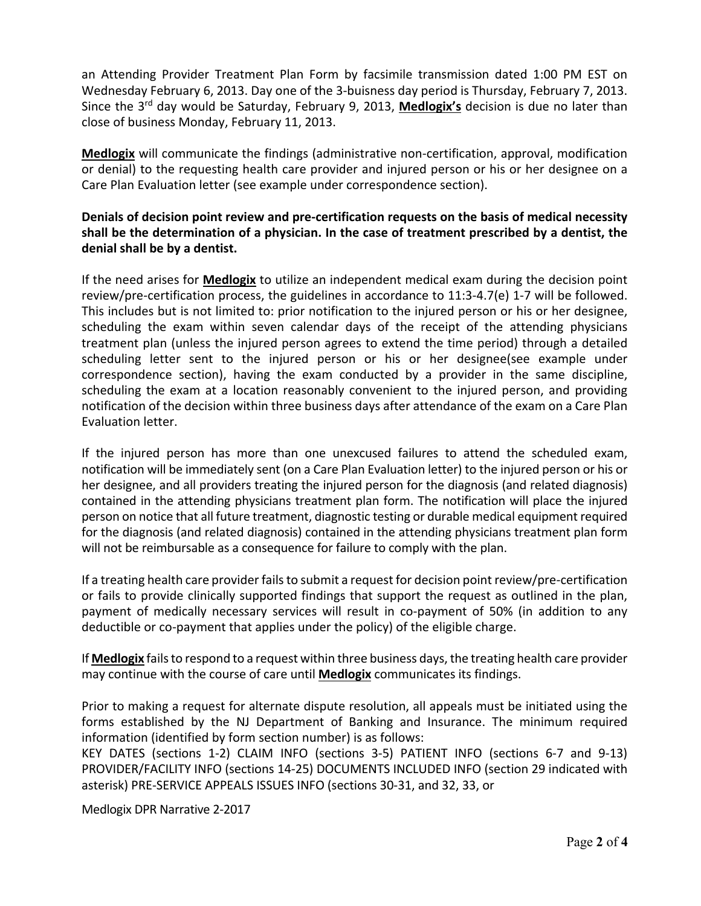an Attending Provider Treatment Plan Form by facsimile transmission dated 1:00 PM EST on Wednesday February 6, 2013. Day one of the 3‐buisness day period is Thursday, February 7, 2013. Since the 3<sup>rd</sup> day would be Saturday, February 9, 2013, Medlogix's decision is due no later than close of business Monday, February 11, 2013.

**Medlogix** will communicate the findings (administrative non‐certification, approval, modification or denial) to the requesting health care provider and injured person or his or her designee on a Care Plan Evaluation letter (see example under correspondence section).

## **Denials of decision point review and pre‐certification requests on the basis of medical necessity shall be the determination of a physician. In the case of treatment prescribed by a dentist, the denial shall be by a dentist.**

If the need arises for **Medlogix** to utilize an independent medical exam during the decision point review/pre‐certification process, the guidelines in accordance to 11:3‐4.7(e) 1‐7 will be followed. This includes but is not limited to: prior notification to the injured person or his or her designee, scheduling the exam within seven calendar days of the receipt of the attending physicians treatment plan (unless the injured person agrees to extend the time period) through a detailed scheduling letter sent to the injured person or his or her designee(see example under correspondence section), having the exam conducted by a provider in the same discipline, scheduling the exam at a location reasonably convenient to the injured person, and providing notification of the decision within three business days after attendance of the exam on a Care Plan Evaluation letter.

If the injured person has more than one unexcused failures to attend the scheduled exam, notification will be immediately sent (on a Care Plan Evaluation letter) to the injured person or his or her designee, and all providers treating the injured person for the diagnosis (and related diagnosis) contained in the attending physicians treatment plan form. The notification will place the injured person on notice that all future treatment, diagnostic testing or durable medical equipment required for the diagnosis (and related diagnosis) contained in the attending physicians treatment plan form will not be reimbursable as a consequence for failure to comply with the plan.

If a treating health care provider fails to submit a request for decision point review/pre-certification or fails to provide clinically supported findings that support the request as outlined in the plan, payment of medically necessary services will result in co-payment of 50% (in addition to any deductible or co‐payment that applies under the policy) of the eligible charge.

If **Medlogix** fails to respond to a request within three business days, the treating health care provider may continue with the course of care until **Medlogix** communicates its findings.

Prior to making a request for alternate dispute resolution, all appeals must be initiated using the forms established by the NJ Department of Banking and Insurance. The minimum required information (identified by form section number) is as follows:

KEY DATES (sections 1‐2) CLAIM INFO (sections 3‐5) PATIENT INFO (sections 6‐7 and 9‐13) PROVIDER/FACILITY INFO (sections 14‐25) DOCUMENTS INCLUDED INFO (section 29 indicated with asterisk) PRE‐SERVICE APPEALS ISSUES INFO (sections 30‐31, and 32, 33, or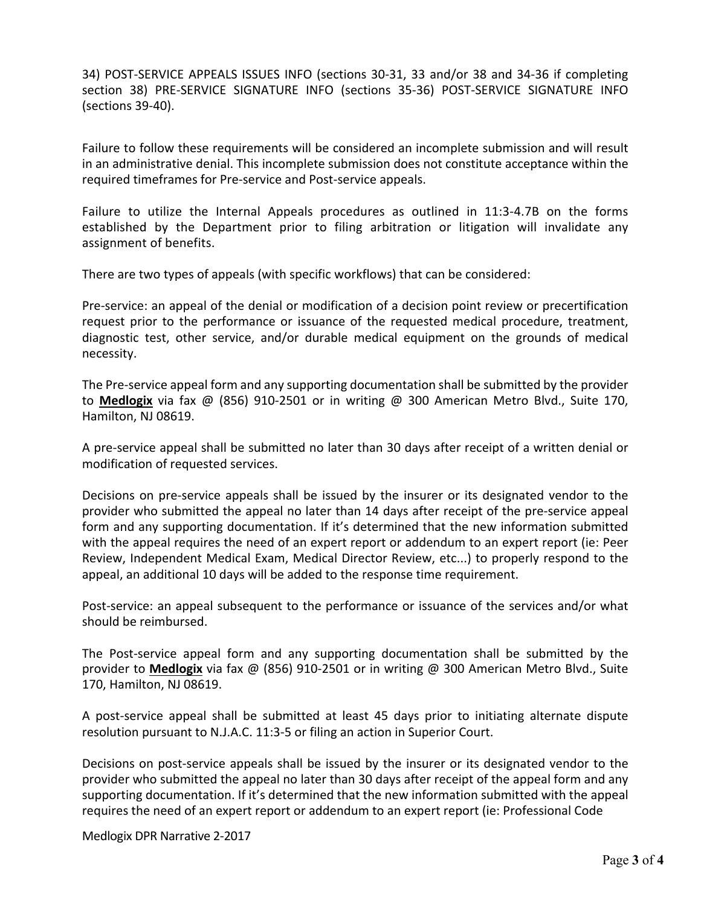34) POST‐SERVICE APPEALS ISSUES INFO (sections 30‐31, 33 and/or 38 and 34‐36 if completing section 38) PRE‐SERVICE SIGNATURE INFO (sections 35‐36) POST‐SERVICE SIGNATURE INFO (sections 39‐40).

Failure to follow these requirements will be considered an incomplete submission and will result in an administrative denial. This incomplete submission does not constitute acceptance within the required timeframes for Pre‐service and Post‐service appeals.

Failure to utilize the Internal Appeals procedures as outlined in 11:3‐4.7B on the forms established by the Department prior to filing arbitration or litigation will invalidate any assignment of benefits.

There are two types of appeals (with specific workflows) that can be considered:

Pre‐service: an appeal of the denial or modification of a decision point review or precertification request prior to the performance or issuance of the requested medical procedure, treatment, diagnostic test, other service, and/or durable medical equipment on the grounds of medical necessity.

The Pre‐service appeal form and any supporting documentation shall be submitted by the provider to **Medlogix** via fax @ (856) 910‐2501 or in writing @ 300 American Metro Blvd., Suite 170, Hamilton, NJ 08619.

A pre‐service appeal shall be submitted no later than 30 days after receipt of a written denial or modification of requested services.

Decisions on pre-service appeals shall be issued by the insurer or its designated vendor to the provider who submitted the appeal no later than 14 days after receipt of the pre‐service appeal form and any supporting documentation. If it's determined that the new information submitted with the appeal requires the need of an expert report or addendum to an expert report (ie: Peer Review, Independent Medical Exam, Medical Director Review, etc...) to properly respond to the appeal, an additional 10 days will be added to the response time requirement.

Post-service: an appeal subsequent to the performance or issuance of the services and/or what should be reimbursed.

The Post-service appeal form and any supporting documentation shall be submitted by the provider to **Medlogix** via fax @ (856) 910‐2501 or in writing @ 300 American Metro Blvd., Suite 170, Hamilton, NJ 08619.

A post‐service appeal shall be submitted at least 45 days prior to initiating alternate dispute resolution pursuant to N.J.A.C. 11:3‐5 or filing an action in Superior Court.

Decisions on post‐service appeals shall be issued by the insurer or its designated vendor to the provider who submitted the appeal no later than 30 days after receipt of the appeal form and any supporting documentation. If it's determined that the new information submitted with the appeal requires the need of an expert report or addendum to an expert report (ie: Professional Code